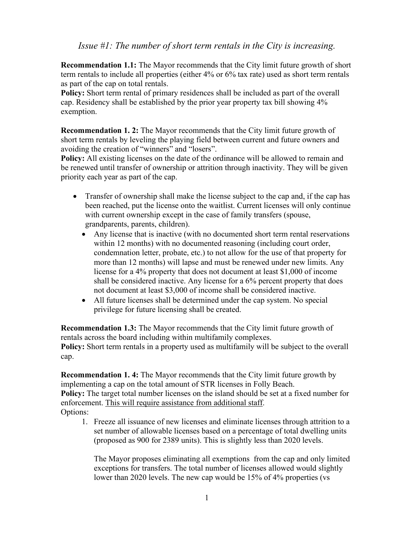## *Issue #1: The number of short term rentals in the City is increasing.*

**Recommendation 1.1:** The Mayor recommends that the City limit future growth of short term rentals to include all properties (either 4% or 6% tax rate) used as short term rentals as part of the cap on total rentals.

**Policy:** Short term rental of primary residences shall be included as part of the overall cap. Residency shall be established by the prior year property tax bill showing 4% exemption.

**Recommendation 1. 2:** The Mayor recommends that the City limit future growth of short term rentals by leveling the playing field between current and future owners and avoiding the creation of "winners" and "losers".

**Policy:** All existing licenses on the date of the ordinance will be allowed to remain and be renewed until transfer of ownership or attrition through inactivity. They will be given priority each year as part of the cap.

- Transfer of ownership shall make the license subject to the cap and, if the cap has been reached, put the license onto the waitlist. Current licenses will only continue with current ownership except in the case of family transfers (spouse, grandparents, parents, children).
	- Any license that is inactive (with no documented short term rental reservations within 12 months) with no documented reasoning (including court order, condemnation letter, probate, etc.) to not allow for the use of that property for more than 12 months) will lapse and must be renewed under new limits. Any license for a 4% property that does not document at least \$1,000 of income shall be considered inactive. Any license for a 6% percent property that does not document at least \$3,000 of income shall be considered inactive.
	- All future licenses shall be determined under the cap system. No special privilege for future licensing shall be created.

**Recommendation 1.3:** The Mayor recommends that the City limit future growth of rentals across the board including within multifamily complexes. **Policy:** Short term rentals in a property used as multifamily will be subject to the overall cap.

**Recommendation 1. 4:** The Mayor recommends that the City limit future growth by implementing a cap on the total amount of STR licenses in Folly Beach. **Policy:** The target total number licenses on the island should be set at a fixed number for enforcement. This will require assistance from additional staff. Options:

1. Freeze all issuance of new licenses and eliminate licenses through attrition to a set number of allowable licenses based on a percentage of total dwelling units (proposed as 900 for 2389 units). This is slightly less than 2020 levels.

The Mayor proposes eliminating all exemptions from the cap and only limited exceptions for transfers. The total number of licenses allowed would slightly lower than 2020 levels. The new cap would be 15% of 4% properties (vs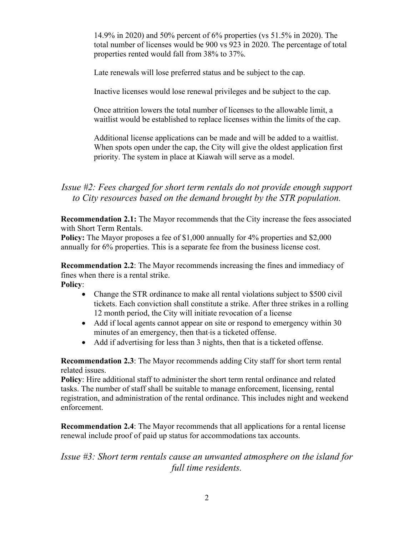14.9% in 2020) and 50% percent of 6% properties (vs 51.5% in 2020). The total number of licenses would be 900 vs 923 in 2020. The percentage of total properties rented would fall from 38% to 37%.

Late renewals will lose preferred status and be subject to the cap.

Inactive licenses would lose renewal privileges and be subject to the cap.

Once attrition lowers the total number of licenses to the allowable limit, a waitlist would be established to replace licenses within the limits of the cap.

Additional license applications can be made and will be added to a waitlist. When spots open under the cap, the City will give the oldest application first priority. The system in place at Kiawah will serve as a model.

## *Issue #2: Fees charged for short term rentals do not provide enough support to City resources based on the demand brought by the STR population.*

**Recommendation 2.1:** The Mayor recommends that the City increase the fees associated with Short Term Rentals.

**Policy:** The Mayor proposes a fee of \$1,000 annually for 4% properties and \$2,000 annually for 6% properties. This is a separate fee from the business license cost.

**Recommendation 2.2**: The Mayor recommends increasing the fines and immediacy of fines when there is a rental strike. **Policy**:

- Change the STR ordinance to make all rental violations subject to \$500 civil tickets. Each conviction shall constitute a strike. After three strikes in a rolling 12 month period, the City will initiate revocation of a license
- Add if local agents cannot appear on site or respond to emergency within 30 minutes of an emergency, then that-is a ticketed offense.
- Add if advertising for less than 3 nights, then that is a ticketed offense.

**Recommendation 2.3**: The Mayor recommends adding City staff for short term rental related issues.

**Policy**: Hire additional staff to administer the short term rental ordinance and related tasks. The number of staff shall be suitable to manage enforcement, licensing, rental registration, and administration of the rental ordinance. This includes night and weekend enforcement.

**Recommendation 2.4**: The Mayor recommends that all applications for a rental license renewal include proof of paid up status for accommodations tax accounts.

## *Issue #3: Short term rentals cause an unwanted atmosphere on the island for full time residents.*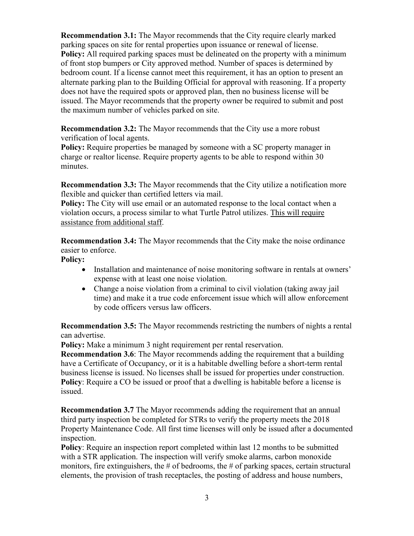**Recommendation 3.1:** The Mayor recommends that the City require clearly marked parking spaces on site for rental properties upon issuance or renewal of license. **Policy:** All required parking spaces must be delineated on the property with a minimum of front stop bumpers or City approved method. Number of spaces is determined by bedroom count. If a license cannot meet this requirement, it has an option to present an alternate parking plan to the Building Official for approval with reasoning. If a property does not have the required spots or approved plan, then no business license will be issued. The Mayor recommends that the property owner be required to submit and post the maximum number of vehicles parked on site.

**Recommendation 3.2:** The Mayor recommends that the City use a more robust verification of local agents.

**Policy:** Require properties be managed by someone with a SC property manager in charge or realtor license. Require property agents to be able to respond within 30 minutes.

**Recommendation 3.3:** The Mayor recommends that the City utilize a notification more flexible and quicker than certified letters via mail.

**Policy:** The City will use email or an automated response to the local contact when a violation occurs, a process similar to what Turtle Patrol utilizes. This will require assistance from additional staff.

**Recommendation 3.4:** The Mayor recommends that the City make the noise ordinance easier to enforce.

**Policy:** 

- Installation and maintenance of noise monitoring software in rentals at owners' expense with at least one noise violation.
- Change a noise violation from a criminal to civil violation (taking away jail time) and make it a true code enforcement issue which will allow enforcement by code officers versus law officers.

**Recommendation 3.5:** The Mayor recommends restricting the numbers of nights a rental can advertise.

**Policy:** Make a minimum 3 night requirement per rental reservation.

**Recommendation 3.6**: The Mayor recommends adding the requirement that a building have a Certificate of Occupancy, or it is a habitable dwelling before a short-term rental business license is issued. No licenses shall be issued for properties under construction. **Policy**: Require a CO be issued or proof that a dwelling is habitable before a license is issued.

**Recommendation 3.7** The Mayor recommends adding the requirement that an annual third party inspection be completed for STRs to verify the property meets the 2018 Property Maintenance Code. All first time licenses will only be issued after a documented inspection.

**Policy**: Require an inspection report completed within last 12 months to be submitted with a STR application. The inspection will verify smoke alarms, carbon monoxide monitors, fire extinguishers, the  $\#$  of bedrooms, the  $\#$  of parking spaces, certain structural elements, the provision of trash receptacles, the posting of address and house numbers,